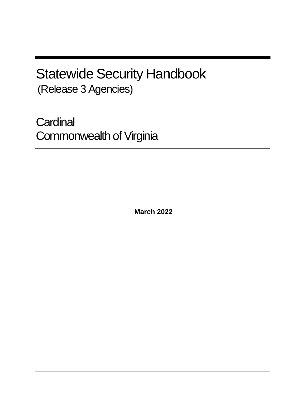# Statewide Security Handbook (Release 3 Agencies)

**Cardinal** Commonwealth of Virginia

**March 2022**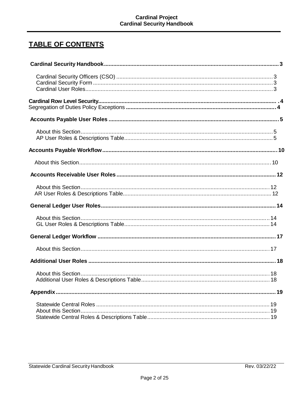# **TABLE OF CONTENTS**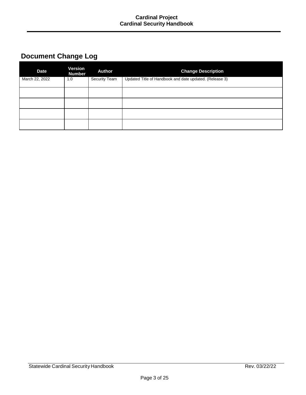# **Document Change Log**

| <b>Date</b>    | Version<br><b>Number</b> | <b>Author</b> | <b>Change Description</b>                               |
|----------------|--------------------------|---------------|---------------------------------------------------------|
| March 22, 2022 | 1.0                      | Security Team | Updated Title of Handbook and date updated. (Release 3) |
|                |                          |               |                                                         |
|                |                          |               |                                                         |
|                |                          |               |                                                         |
|                |                          |               |                                                         |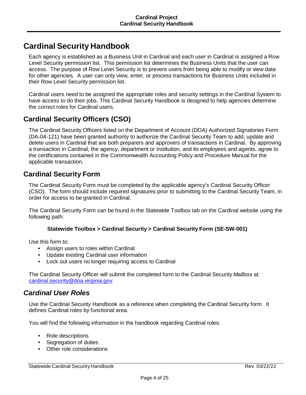# **Cardinal Security Handbook**

Each agency is established as a Business Unit in Cardinal and each user in Cardinal is assigned a Row Level Security permission list. This permission list determines the Business Units that the user can access. The purpose of Row Level Security is to prevent users from being able to modify or view data for other agencies. A user can only view, enter, or process transactions for Business Units included in their Row Level Security permission list.

Cardinal users need to be assigned the appropriate roles and security settings in the Cardinal System to have access to do their jobs. This Cardinal Security Handbook is designed to help agencies determine the correct roles for Cardinal users.

# **Cardinal Security Officers (CSO)**

The Cardinal Security Officers listed on the Department of Account (DOA) Authorized Signatories Form (DA-04-121) have been granted authority to authorize the Cardinal Security Team to add, update and delete users in Cardinal that are both preparers and approvers of transactions in Cardinal. By approving a transaction in Cardinal, the agency, department or institution, and its employees and agents, agree to the certifications contained in the Commonwealth Accounting Policy and Procedure Manual for the applicable transaction.

### **Cardinal Security Form**

The Cardinal Security Form must be completed by the applicable agency's Cardinal Security Officer (CSO). The form should include required signatures prior to submitting to the Cardinal Security Team, in order for access to be granted in Cardinal.

The Cardinal Security Form can be found in the Statewide Toolbox tab on the Cardinal website using the following path:

#### **Statewide Toolbox > Cardinal Security > Cardinal Security Form (SE-SW-001)**

Use this form to:

- Assign users to roles within Cardinal
- Update existing Cardinal user information
- Lock out users no longer requiring access to Cardinal

The Cardinal Security Officer will submit the completed form to the Cardinal Security Mailbox at: [cardinal.security@doa.virginia.gov](mailto:cardinal.security@doa.virginia.gov)

### *Cardinal User Roles*

Use the Cardinal Security Handbook as a reference when completing the Cardinal Security form. It defines Cardinal roles by functional area.

You will find the following information in the handbook regarding Cardinal roles:

- Role descriptions
- Segregation of duties
- Other role considerations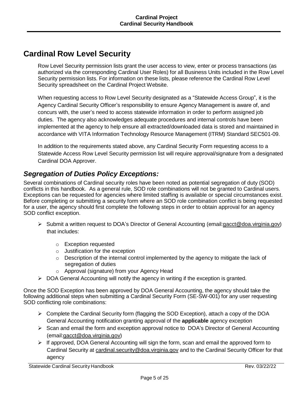# **Cardinal Row Level Security**

Row Level Security permission lists grant the user access to view, enter or process transactions (as authorized via the corresponding Cardinal User Roles) for all Business Units included in the Row Level Security permission lists. For information on these lists, please reference the Cardinal Row Level Security spreadsheet on the Cardinal Project Website.

When requesting access to Row Level Security designated as a "Statewide Access Group", it is the Agency Cardinal Security Officer's responsibility to ensure Agency Management is aware of, and concurs with, the user's need to access statewide information in order to perform assigned job duties. The agency also acknowledges adequate procedures and internal controls have been implemented at the agency to help ensure all extracted/downloaded data is stored and maintained in accordance with VITA Information Technology Resource Management (ITRM) Standard SEC501-09.

In addition to the requirements stated above, any Cardinal Security Form requesting access to a Statewide Access Row Level Security permission list will require approval/signature from a designated Cardinal DOA Approver.

# *Segregation of Duties Policy Exceptions:*

Several combinations of Cardinal security roles have been noted as potential segregation of duty (SOD) conflicts in this handbook. As a general rule, SOD role combinations will not be granted to Cardinal users. Exceptions can be requested for agencies where limited staffing is available or special circumstances exist. Before completing or submitting a security form where an SOD role combination conflict is being requested for a user, the agency should first complete the following steps in order to obtain approval for an agency SOD conflict exception.

- $\triangleright$  Submit a written request to DOA's Director of General Accounting (email: gacct @doa.virginia.gov) that includes:
	- o Exception requested
	- $\circ$  Justification for the exception
	- o Description of the internal control implemented by the agency to mitigate the lack of segregation of duties
	- o Approval (signature) from your Agency Head
- $\triangleright$  DOA General Accounting will notify the agency in writing if the exception is granted.

Once the SOD Exception has been approved by DOA General Accounting, the agency should take the following additional steps when submitting a Cardinal Security Form (SE-SW-001) for any user requesting SOD conflicting role combinations:

- $\triangleright$  Complete the Cardinal Security form (flagging the SOD Exception), attach a copy of the DOA General Accounting notification granting approval of the **applicable** agency exception
- $\triangleright$  Scan and email the form and exception approval notice to DOA's Director of General Accounting (ema[il:gacct@doa.virginia.gov\)](mailto:gacct@doa.virginia.gov)
- $\triangleright$  If approved, DOA General Accounting will sign the form, scan and email the approved form to Cardinal Security at [cardinal.security@doa.virginia.gov](mailto:cardinal.security@doa.virginia.gov) and to the Cardinal Security Officer for that agency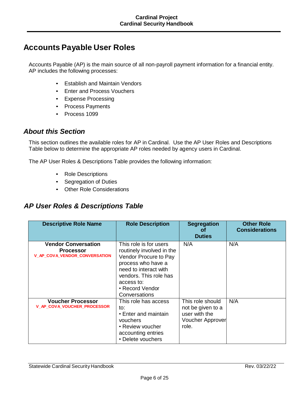# **Accounts Payable User Roles**

Accounts Payable (AP) is the main source of all non-payroll payment information for a financial entity. AP includes the following processes:

- Establish and Maintain Vendors
- Enter and Process Vouchers
- Expense Processing
- Process Payments
- Process 1099

#### *About this Section*

This section outlines the available roles for AP in Cardinal. Use the AP User Roles and Descriptions Table below to determine the appropriate AP roles needed by agency users in Cardinal.

The AP User Roles & Descriptions Table provides the following information:

- Role Descriptions
- Segregation of Duties
- Other Role Considerations

### *AP User Roles & Descriptions Table*

| <b>Descriptive Role Name</b>                                                           | <b>Role Description</b>                                                                                                                                                                                 | <b>Segregation</b><br><b>of</b><br><b>Duties</b>                                           | <b>Other Role</b><br><b>Considerations</b> |
|----------------------------------------------------------------------------------------|---------------------------------------------------------------------------------------------------------------------------------------------------------------------------------------------------------|--------------------------------------------------------------------------------------------|--------------------------------------------|
| <b>Vendor Conversation</b><br><b>Processor</b><br><b>V_AP_COVA_VENDOR_CONVERSATION</b> | This role is for users<br>routinely involved in the<br>Vendor Procure to Pay<br>process who have a<br>need to interact with<br>vendors. This role has<br>access to:<br>• Record Vendor<br>Conversations | N/A                                                                                        | N/A                                        |
| <b>Voucher Processor</b><br><b>V_AP_COVA_VOUCHER_PROCESSOR</b>                         | This role has access<br>to:<br>• Enter and maintain<br>vouchers<br>• Review voucher<br>accounting entries<br>• Delete vouchers                                                                          | This role should<br>not be given to a<br>user with the<br><b>Voucher Approver</b><br>role. | N/A                                        |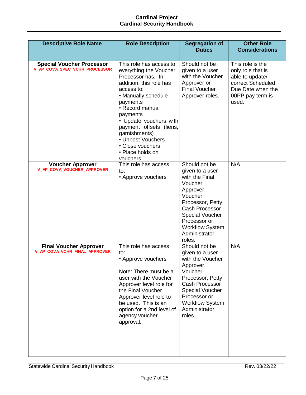| <b>Descriptive Role Name</b>                                      | <b>Role Description</b>                                                                                                                                                                                                                                                                                                          | <b>Segregation of</b>                                                                                                                                                                                                             | <b>Other Role</b>                                                                                                               |
|-------------------------------------------------------------------|----------------------------------------------------------------------------------------------------------------------------------------------------------------------------------------------------------------------------------------------------------------------------------------------------------------------------------|-----------------------------------------------------------------------------------------------------------------------------------------------------------------------------------------------------------------------------------|---------------------------------------------------------------------------------------------------------------------------------|
|                                                                   |                                                                                                                                                                                                                                                                                                                                  | <b>Duties</b>                                                                                                                                                                                                                     | <b>Considerations</b>                                                                                                           |
| <b>Special Voucher Processor</b><br>V_AP_COVA_SPEC_VCHR_PROCESSOR | This role has access to<br>everything the Voucher<br>Processor has. In<br>addition, this role has<br>access to:<br>• Manually schedule<br>payments<br>• Record manual<br>payments<br>• Update vouchers with<br>payment offsets (liens,<br>garnishments)<br>• Unpost Vouchers<br>• Close vouchers<br>• Place holds on<br>vouchers | Should not be<br>given to a user<br>with the Voucher<br>Approver or<br><b>Final Voucher</b><br>Approver roles.                                                                                                                    | This role is the<br>only role that is<br>able to update/<br>correct Scheduled<br>Due Date when the<br>00PP pay term is<br>used. |
| <b>Voucher Approver</b><br>V_AP_COVA_VOUCHER_APPROVER             | This role has access<br>to:<br>• Approve vouchers                                                                                                                                                                                                                                                                                | Should not be<br>given to a user<br>with the Final<br>Voucher<br>Approver,<br>Voucher<br>Processor, Petty<br><b>Cash Processor</b><br><b>Special Voucher</b><br>Processor or<br><b>Workflow System</b><br>Administrator<br>roles. | N/A                                                                                                                             |
| <b>Final Voucher Approver</b><br>V_AP_COVA_VCHR_FINAL_APPROVER    | This role has access<br>to:<br>• Approve vouchers<br>Note: There must be a<br>user with the Voucher<br>Approver level role for<br>the Final Voucher<br>Approver level role to<br>be used. This is an<br>option for a 2nd level of<br>agency voucher<br>approval.                                                                 | Should not be<br>given to a user<br>with the Voucher<br>Approver,<br>Voucher<br>Processor, Petty<br>Cash Processor<br><b>Special Voucher</b><br>Processor or<br><b>Workflow System</b><br>Administrator<br>roles.                 | N/A                                                                                                                             |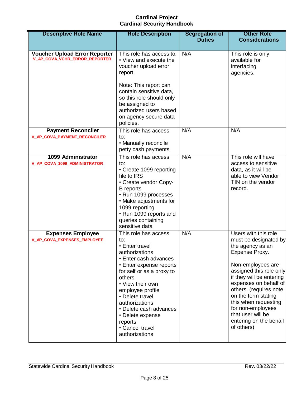| <b>Descriptive Role Name</b>                                          | <b>Role Description</b>                                                                                                                                                                                                                                                                                                               | <b>Segregation of</b><br><b>Duties</b> | <b>Other Role</b><br><b>Considerations</b>                                                                                                                                                                                                                                                                                                          |
|-----------------------------------------------------------------------|---------------------------------------------------------------------------------------------------------------------------------------------------------------------------------------------------------------------------------------------------------------------------------------------------------------------------------------|----------------------------------------|-----------------------------------------------------------------------------------------------------------------------------------------------------------------------------------------------------------------------------------------------------------------------------------------------------------------------------------------------------|
| <b>Voucher Upload Error Reporter</b><br>V_AP_COVA_VCHR_ERROR_REPORTER | This role has access to:<br>• View and execute the<br>voucher upload error<br>report.<br>Note: This report can<br>contain sensitive data,<br>so this role should only<br>be assigned to<br>authorized users based<br>on agency secure data<br>policies.                                                                               | N/A                                    | This role is only<br>available for<br>interfacing<br>agencies.                                                                                                                                                                                                                                                                                      |
| <b>Payment Reconciler</b><br><b>V_AP_COVA_PAYMENT_RECONCILER</b>      | This role has access<br>to:<br>• Manually reconcile<br>petty cash payments                                                                                                                                                                                                                                                            | N/A                                    | N/A                                                                                                                                                                                                                                                                                                                                                 |
| 1099 Administrator<br>V_AP_COVA_1099_ADMINISTRATOR                    | This role has access<br>to:<br>• Create 1099 reporting<br>file to IRS<br>• Create vendor Copy-<br><b>B</b> reports<br>• Run 1099 processes<br>• Make adjustments for<br>1099 reporting<br>• Run 1099 reports and<br>queries containing<br>sensitive data                                                                              | N/A                                    | This role will have<br>access to sensitive<br>data, as it will be<br>able to view Vendor<br>TIN on the vendor<br>record.                                                                                                                                                                                                                            |
| <b>Expenses Employee</b><br>V_AP_COVA_EXPENSES_EMPLOYEE               | This role has access<br>to:<br>• Enter travel<br>authorizations<br>• Enter cash advances<br>• Enter expense reports<br>for self or as a proxy to<br>others<br>• View their own<br>employee profile<br>• Delete travel<br>authorizations<br>• Delete cash advances<br>• Delete expense<br>reports<br>• Cancel travel<br>authorizations | N/A                                    | Users with this role<br>must be designated by<br>the agency as an<br>Expense Proxy.<br>Non-employees are<br>assigned this role only<br>if they will be entering<br>expenses on behalf of<br>others. (requires note<br>on the form stating<br>this when requesting<br>for non-employees<br>that user will be<br>entering on the behalf<br>of others) |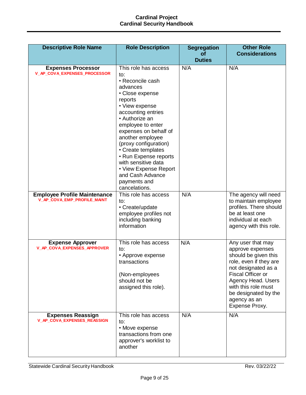| <b>Descriptive Role Name</b>                                       | <b>Role Description</b>                                                                                                                                                                                                                                                                                                                                                                            | <b>Segregation</b>         | <b>Other Role</b>                                                                                                                                                                                                                                 |
|--------------------------------------------------------------------|----------------------------------------------------------------------------------------------------------------------------------------------------------------------------------------------------------------------------------------------------------------------------------------------------------------------------------------------------------------------------------------------------|----------------------------|---------------------------------------------------------------------------------------------------------------------------------------------------------------------------------------------------------------------------------------------------|
|                                                                    |                                                                                                                                                                                                                                                                                                                                                                                                    | <b>of</b><br><b>Duties</b> | <b>Considerations</b>                                                                                                                                                                                                                             |
|                                                                    |                                                                                                                                                                                                                                                                                                                                                                                                    |                            |                                                                                                                                                                                                                                                   |
| <b>Expenses Processor</b><br>V_AP_COVA_EXPENSES_PROCESSOR          | This role has access<br>to:<br>• Reconcile cash<br>advances<br>• Close expense<br>reports<br>• View expense<br>accounting entries<br>• Authorize an<br>employee to enter<br>expenses on behalf of<br>another employee<br>(proxy configuration)<br>• Create templates<br>• Run Expense reports<br>with sensitive data<br>• View Expense Report<br>and Cash Advance<br>payments and<br>cancelations. | N/A                        | N/A                                                                                                                                                                                                                                               |
| <b>Employee Profile Maintenance</b><br>V_AP_COVA_EMP_PROFILE_MAINT | This role has access<br>to:<br>• Create/update<br>employee profiles not<br>including banking<br>information                                                                                                                                                                                                                                                                                        | N/A                        | The agency will need<br>to maintain employee<br>profiles. There should<br>be at least one<br>individual at each<br>agency with this role.                                                                                                         |
| <b>Expense Approver</b><br>V_AP_COVA_EXPENSES_APPROVER             | This role has access<br>to:<br>• Approve expense<br>transactions<br>(Non-employees<br>should not be<br>assigned this role).                                                                                                                                                                                                                                                                        | N/A                        | Any user that may<br>approve expenses<br>should be given this<br>role, even if they are<br>not designated as a<br><b>Fiscal Officer or</b><br>Agency Head. Users<br>with this role must<br>be designated by the<br>agency as an<br>Expense Proxy. |
| <b>Expenses Reassign</b><br>V_AP_COVA_EXPENSES_REASSIGN            | This role has access<br>to:<br>• Move expense<br>transactions from one<br>approver's worklist to<br>another                                                                                                                                                                                                                                                                                        | N/A                        | N/A                                                                                                                                                                                                                                               |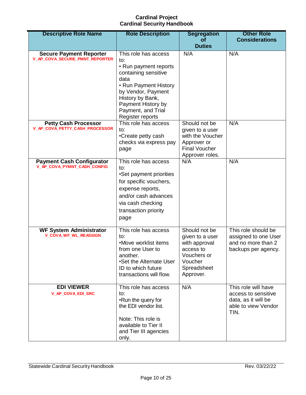| <b>Descriptive Role Name</b>                                     | <b>Role Description</b>                                                                                                                                                                                                 | <b>Segregation</b><br>οf                                                                                             | <b>Other Role</b><br><b>Considerations</b>                                                       |
|------------------------------------------------------------------|-------------------------------------------------------------------------------------------------------------------------------------------------------------------------------------------------------------------------|----------------------------------------------------------------------------------------------------------------------|--------------------------------------------------------------------------------------------------|
|                                                                  |                                                                                                                                                                                                                         | <b>Duties</b>                                                                                                        |                                                                                                  |
| <b>Secure Payment Reporter</b><br>V_AP_COVA_SECURE_PMNT_REPORTER | This role has access<br>to:<br>• Run payment reports<br>containing sensitive<br>data<br>• Run Payment History<br>by Vendor, Payment<br>History by Bank,<br>Payment History by<br>Payment, and Trial<br>Register reports | N/A                                                                                                                  | N/A                                                                                              |
| <b>Petty Cash Processor</b><br>V_AP_COVA_PETTY_CASH_PROCESSOR    | This role has access<br>to:<br>•Create petty cash<br>checks via express pay<br>page                                                                                                                                     | Should not be<br>given to a user<br>with the Voucher<br>Approver or<br><b>Final Voucher</b><br>Approver roles.       | N/A                                                                                              |
| <b>Payment Cash Configurator</b><br>V_AP_COVA_PYMNT_CASH_CONFIG  | This role has access<br>to:<br>•Set payment priorities<br>for specific vouchers,<br>expense reports,<br>and/or cash advances<br>via cash checking<br>transaction priority<br>page                                       | N/A                                                                                                                  | N/A                                                                                              |
| <b>WF System Administrator</b><br><b>V_COVA_WF_WL_REASSIGN</b>   | This role has access<br>to:<br>•Move worklist items<br>from one User to<br>another.<br>•Set the Alternate User<br>ID to which future<br>transactions will flow.                                                         | Should not be<br>given to a user<br>with approval<br>access to<br>Vouchers or<br>Voucher<br>Spreadsheet<br>Approver. | This role should be<br>assigned to one User<br>and no more than 2<br>backups per agency.         |
| <b>EDI VIEWER</b><br>V_AP_COVA_EDI_SRC                           | This role has access<br>to:<br>•Run the query for<br>the EDI vendor list.<br>Note: This role is<br>available to Tier II<br>and Tier III agencies<br>only.                                                               | N/A                                                                                                                  | This role will have<br>access to sensitive<br>data, as it will be<br>able to view Vendor<br>TIN. |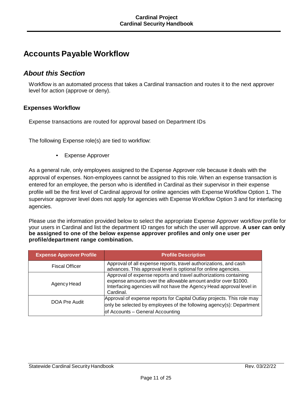# **Accounts Payable Workflow**

### *About this Section*

Workflow is an automated process that takes a Cardinal transaction and routes it to the next approver level for action (approve or deny).

#### **Expenses Workflow**

Expense transactions are routed for approval based on Department IDs

The following Expense role(s) are tied to workflow:

• Expense Approver

As a general rule, only employees assigned to the Expense Approver role because it deals with the approval of expenses. Non-employees cannot be assigned to this role. When an expense transaction is entered for an employee, the person who is identified in Cardinal as their supervisor in their expense profile will be the first level of Cardinal approval for online agencies with Expense Workflow Option 1. The supervisor approver level does not apply for agencies with Expense Workflow Option 3 and for interfacing agencies.

Please use the information provided below to select the appropriate Expense Approver workflow profile for your users in Cardinal and list the department ID ranges for which the user will approve. **A user can only be assigned to one of the below expense approver profiles and only one user per profile/department range combination.**

| <b>Expense Approver Profile</b> | <b>Profile Description</b>                                                                                                                                                                                             |
|---------------------------------|------------------------------------------------------------------------------------------------------------------------------------------------------------------------------------------------------------------------|
| <b>Fiscal Officer</b>           | Approval of all expense reports, travel authorizations, and cash<br>advances. This approval level is optional for online agencies.                                                                                     |
| Agency Head                     | Approval of expense reports and travel authorizations containing<br>expense amounts over the allowable amount and/or over \$1000.<br>Interfacing agencies will not have the Agency Head approval level in<br>Cardinal. |
| DOA Pre Audit                   | Approval of expense reports for Capital Outlay projects. This role may<br>only be selected by employees of the following agency(s): Department<br>of Accounts - General Accounting                                     |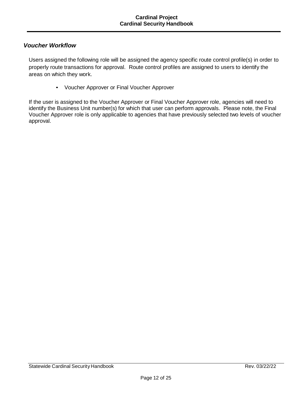#### *Voucher Workflow*

Users assigned the following role will be assigned the agency specific route control profile(s) in order to properly route transactions for approval. Route control profiles are assigned to users to identify the areas on which they work.

• Voucher Approver or Final Voucher Approver

If the user is assigned to the Voucher Approver or Final Voucher Approver role, agencies will need to identify the Business Unit number(s) for which that user can perform approvals. Please note, the Final Voucher Approver role is only applicable to agencies that have previously selected two levels of voucher approval.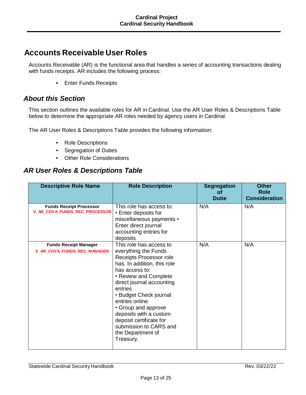# **Accounts Receivable User Roles**

Accounts Receivable (AR) is the functional area that handles a series of accounting transactions dealing with funds receipts. AR includes the following process:

• Enter Funds Receipts

### *About this Section*

This section outlines the available roles for AR in Cardinal. Use the AR User Roles & Descriptions Table below to determine the appropriate AR roles needed by agency users in Cardinal.

The AR User Roles & Descriptions Table provides the following information:

- Role Descriptions
- Segregation of Duties
- Other Role Considerations

### *AR User Roles & Descriptions Table*

| <b>Descriptive Role Name</b>                                    | <b>Role Description</b>                                                                                                                                                                                                                                                                                                                                                          | <b>Segregation</b><br>οf<br><b>Dutie</b> | <b>Other</b><br><b>Role</b><br><b>Consideration</b> |
|-----------------------------------------------------------------|----------------------------------------------------------------------------------------------------------------------------------------------------------------------------------------------------------------------------------------------------------------------------------------------------------------------------------------------------------------------------------|------------------------------------------|-----------------------------------------------------|
| <b>Funds Receipt Processor</b><br>V_AR_COVA_FUNDS_REC_PROCESSOR | This role has access to:<br>• Enter deposits for<br>miscellaneous payments •<br>Enter direct journal<br>accounting entries for<br>deposits                                                                                                                                                                                                                                       | N/A                                      | N/A                                                 |
| <b>Funds Receipt Manager</b><br>V_AR_COVA_FUNDS_REC_MANAGER     | This role has access to<br>everything the Funds<br>Receipts Processor role<br>has. In addition, this role<br>has access to:<br>• Review and Complete<br>direct journal accounting<br>entries<br>• Budget Check journal<br>entries online<br>• Group and approve<br>deposits with a custom<br>deposit certificate for<br>submission to CARS and<br>the Department of<br>Treasury. | N/A                                      | N/A                                                 |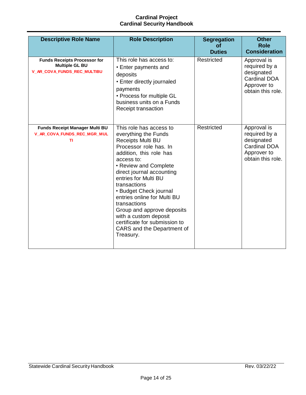| <b>Descriptive Role Name</b>                                                                | <b>Role Description</b>                                                                                                                                                                                                                                                                                                                                                                                                                                  | <b>Segregation</b><br>οf<br><b>Duties</b> | <b>Other</b><br><b>Role</b><br><b>Consideration</b>                                                   |
|---------------------------------------------------------------------------------------------|----------------------------------------------------------------------------------------------------------------------------------------------------------------------------------------------------------------------------------------------------------------------------------------------------------------------------------------------------------------------------------------------------------------------------------------------------------|-------------------------------------------|-------------------------------------------------------------------------------------------------------|
| <b>Funds Receipts Processor for</b><br><b>Multiple GL BU</b><br>V_AR_COVA_FUNDS_REC_MULTIBU | This role has access to:<br>• Enter payments and<br>deposits<br>• Enter directly journaled<br>payments<br>• Process for multiple GL<br>business units on a Funds<br>Receipt transaction                                                                                                                                                                                                                                                                  | Restricted                                | Approval is<br>required by a<br>designated<br>Cardinal DOA<br>Approver to<br>obtain this role.        |
| <b>Funds Receipt Manager Multi BU</b><br>V_AR_COVA_FUNDS_REC_MGR_MUL<br>TI                  | This role has access to<br>everything the Funds<br><b>Receipts Multi BU</b><br>Processor role has. In<br>addition, this role has<br>access to:<br>• Review and Complete<br>direct journal accounting<br>entries for Multi BU<br>transactions<br>• Budget Check journal<br>entries online for Multi BU<br>transactions<br>Group and approve deposits<br>with a custom deposit<br>certificate for submission to<br>CARS and the Department of<br>Treasury. | Restricted                                | Approval is<br>required by a<br>designated<br><b>Cardinal DOA</b><br>Approver to<br>obtain this role. |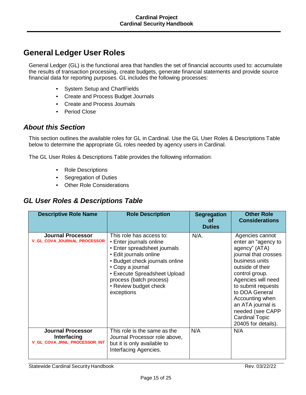# **General Ledger User Roles**

General Ledger (GL) is the functional area that handles the set of financial accounts used to: accumulate the results of transaction processing, create budgets, generate financial statements and provide source financial data for reporting purposes. GL includes the following processes:

- System Setup and ChartFields
- Create and Process Budget Journals
- Create and Process Journals
- Period Close

### *About this Section*

This section outlines the available roles for GL in Cardinal. Use the GL User Roles & Descriptions Table below to determine the appropriate GL roles needed by agency users in Cardinal.

The GL User Roles & Descriptions Table provides the following information:

- Role Descriptions
- Segregation of Duties
- Other Role Considerations

### *GL User Roles & Descriptions Table*

| <b>Descriptive Role Name</b>                                            | <b>Role Description</b>                                                                                                                                                                                                                                               | <b>Segregation</b><br>Οf<br><b>Duties</b> | <b>Other Role</b><br><b>Considerations</b>                                                                                                                                                                                                                                                                        |
|-------------------------------------------------------------------------|-----------------------------------------------------------------------------------------------------------------------------------------------------------------------------------------------------------------------------------------------------------------------|-------------------------------------------|-------------------------------------------------------------------------------------------------------------------------------------------------------------------------------------------------------------------------------------------------------------------------------------------------------------------|
| <b>Journal Processor</b><br><b>V_GL_COVA_JOURNAL_PROCESSOR</b>          | This role has access to:<br>• Enter journals online<br>• Enter spreadsheet journals<br>• Edit journals online<br>• Budget check journals online<br>• Copy a journal<br>• Execute Spreadsheet Upload<br>process (batch process)<br>• Review budget check<br>exceptions | $N/A$ .                                   | Agencies cannot<br>enter an "agency to<br>agency" (ATA)<br>journal that crosses<br>business units<br>outside of their<br>control group.<br>Agencies will need<br>to submit requests<br>to DOA General<br>Accounting when<br>an ATA journal is<br>needed (see CAPP<br><b>Cardinal Topic</b><br>20405 for details). |
| <b>Journal Processor</b><br>Interfacing<br>V_GL_COVA_JRNL_PROCESSOR_INT | This role is the same as the<br>Journal Processor role above,<br>but it is only available to<br>Interfacing Agencies.                                                                                                                                                 | N/A                                       | N/A                                                                                                                                                                                                                                                                                                               |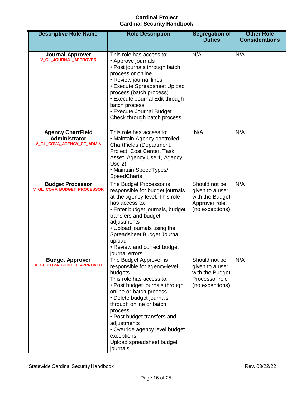| <b>Descriptive Role Name</b>                                           | <b>Role Description</b>                                                                                                                                                                                                                                                                                                                                              | <b>Segregation of</b><br><b>Duties</b>                                                   | <b>Other Role</b><br><b>Considerations</b> |
|------------------------------------------------------------------------|----------------------------------------------------------------------------------------------------------------------------------------------------------------------------------------------------------------------------------------------------------------------------------------------------------------------------------------------------------------------|------------------------------------------------------------------------------------------|--------------------------------------------|
| <b>Journal Approver</b><br><b>V_GL_JOURNAL_APPROVER</b>                | This role has access to:<br>• Approve journals<br>• Post journals through batch<br>process or online<br>• Review journal lines<br>• Execute Spreadsheet Upload<br>process (batch process)<br>• Execute Journal Edit through<br>batch process<br>• Execute Journal Budget<br>Check through batch process                                                              | N/A                                                                                      | N/A                                        |
| <b>Agency ChartField</b><br>Administrator<br>V_GL_COVA_AGENCY_CF_ADMIN | This role has access to:<br>• Maintain Agency controlled<br>ChartFields (Department,<br>Project, Cost Center, Task,<br>Asset, Agency Use 1, Agency<br>Use $2)$<br>• Maintain SpeedTypes/<br><b>SpeedCharts</b>                                                                                                                                                       | N/A                                                                                      | N/A                                        |
| <b>Budget Processor</b><br>V_GL_COVA_BUDGET_PROCESSOR                  | The Budget Processor is<br>responsible for budget journals<br>at the agency-level. This role<br>has access to:<br>• Enter budget journals, budget<br>transfers and budget<br>adjustments<br>• Upload journals using the<br>Spreadsheet Budget Journal<br>upload<br>• Review and correct budget<br>journal errors                                                     | Should not be<br>given to a user<br>with the Budget<br>Approver role.<br>(no exceptions) | N/A                                        |
| <b>Budget Approver</b><br>V_GL_COVA_BUDGET_APPROVER                    | The Budget Approver is<br>responsible for agency-level<br>budgets.<br>This role has access to:<br>• Post budget journals through<br>online or batch process<br>• Delete budget journals<br>through online or batch<br>process<br>• Post budget transfers and<br>adjustments<br>• Override agency level budget<br>exceptions<br>Upload spreadsheet budget<br>journals | Should not be<br>given to a user<br>with the Budget<br>Processor role<br>(no exceptions) | N/A                                        |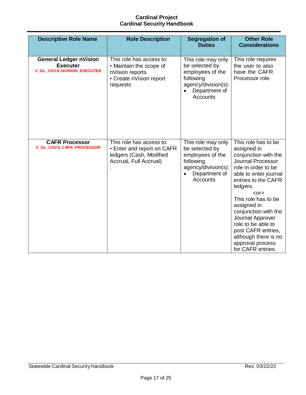| <b>Descriptive Role Name</b>                                                          | <b>Role Description</b>                                                                                       | <b>Segregation of</b>                                                                                                            | <b>Other Role</b>                                                                                                                                                                                                                                                                                                                                                                      |
|---------------------------------------------------------------------------------------|---------------------------------------------------------------------------------------------------------------|----------------------------------------------------------------------------------------------------------------------------------|----------------------------------------------------------------------------------------------------------------------------------------------------------------------------------------------------------------------------------------------------------------------------------------------------------------------------------------------------------------------------------------|
|                                                                                       |                                                                                                               | <b>Duties</b>                                                                                                                    | <b>Considerations</b>                                                                                                                                                                                                                                                                                                                                                                  |
| <b>General Ledger nVision</b><br><b>Executer</b><br><b>V_GL_COVA_NVISION_EXECUTER</b> | This role has access to:<br>• Maintain the scope of<br>nVision reports<br>• Create nVision report<br>requests | This role may only<br>be selected by<br>employees of the<br>following<br>agency/division(s):<br>Department of<br><b>Accounts</b> | This role requires<br>the user to also<br>have the CAFR<br>Processor role.                                                                                                                                                                                                                                                                                                             |
| <b>CAFR Processor</b><br>V_GL_COVA_CAFR_PROCESSOR                                     | This role has access to:<br>• Enter and report on CAFR<br>ledgers (Cash, Modified<br>Accrual, Full Accrual)   | This role may only<br>be selected by<br>employees of the<br>following<br>agency/division(s):<br>Department of<br><b>Accounts</b> | This role has to be<br>assigned in<br>conjunction with the<br><b>Journal Processor</b><br>role in order to be<br>able to enter journal<br>entries to the CAFR<br>ledgers.<br>$<$ or $>$<br>This role has to be<br>assigned in<br>conjunction with the<br>Journal Approver<br>role to be able to<br>post CAFR entries,<br>although there is no<br>approval process<br>for CAFR entries. |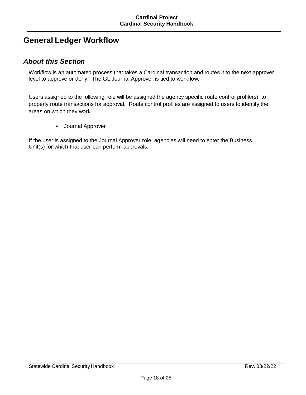# **General Ledger Workflow**

### *About this Section*

Workflow is an automated process that takes a Cardinal transaction and routes it to the next approver level to approve or deny. The GL Journal Approver is tied to workflow.

Users assigned to the following role will be assigned the agency specific route control profile(s), to properly route transactions for approval. Route control profiles are assigned to users to identify the areas on which they work.

• Journal Approver

If the user is assigned to the Journal Approver role, agencies will need to enter the Business Unit(s) for which that user can perform approvals.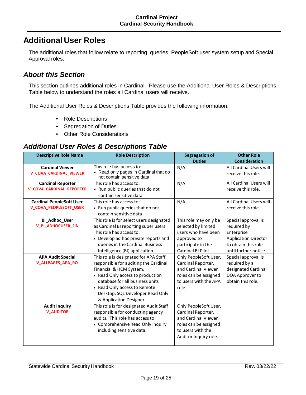# **Additional User Roles**

The additional roles that follow relate to reporting, queries, PeopleSoft user system setup and Special Approval roles.

# *About this Section*

This section outlines additional roles in Cardinal. Please use the Additional User Roles & Descriptions Table below to understand the roles all Cardinal users will receive.

The Additional User Roles & Descriptions Table provides the following information:

- Role Descriptions
- Segregation of Duties
- Other Role Considerations

### *Additional User Roles & Descriptions Table*

| <b>Descriptive Role Name</b>    | <b>Role Description</b>                                             | <b>Segregation of</b> | <b>Other Role</b>           |
|---------------------------------|---------------------------------------------------------------------|-----------------------|-----------------------------|
|                                 |                                                                     | <b>Duties</b>         | <b>Consideration</b>        |
| <b>Cardinal Viewer</b>          | This role has access to:                                            | N/A                   | All Cardinal Users will     |
| <b>V_COVA_CARDINAL_VIEWER</b>   | • Read only pages in Cardinal that do<br>not contain sensitive data |                       | receive this role.          |
| <b>Cardinal Reporter</b>        | This role has access to:                                            | N/A                   | All Cardinal Users will     |
| <b>V_COVA_CARDINAL_REPORTER</b> | • Run public queries that do not                                    |                       | receive this role.          |
|                                 | contain sensitive data                                              |                       |                             |
| <b>Cardinal PeopleSoft User</b> | This role has access to:                                            | N/A                   | All Cardinal Users will     |
| <b>V_COVA_PEOPLESOFT_USER</b>   | • Run public queries that do not<br>contain sensitive data          |                       | receive this role.          |
| <b>BI_Adhoc_User</b>            | This role is for select users designated                            | This role may only be | Special approval is         |
| <b>V_BI_ADHOCUSER_FIN</b>       | as Cardinal BI reporting super users.                               | selected by limited   | required by                 |
|                                 | This role has access to:                                            | users who have been   | Enterprise                  |
|                                 | • Develop ad hoc private reports and                                | approved to           | <b>Application Director</b> |
|                                 | queries in the Cardinal Business                                    | participate in the    | to obtain this role         |
|                                 | Intelligence (BI) application                                       | Cardinal BI Pilot.    | until further notice.       |
| <b>APA Audit Special</b>        | This role is designated for APA Staff                               | Only PeopleSoft User, | Special approval is         |
| <b>V_ALLPAGES_APA_RO</b>        | responsible for auditing the Cardinal                               | Cardinal Reporter,    | required by a               |
|                                 | Financial & HCM System.                                             | and Cardinal Viewer   | designated Cardinal         |
|                                 | • Read Only access to production                                    | roles can be assigned | DOA Approver to             |
|                                 | database for all business units                                     | to users with the APA | obtain this role.           |
|                                 | • Read Only access to Remote                                        | role.                 |                             |
|                                 | Desktop, SQL Developer Read Only                                    |                       |                             |
|                                 | & Application Designer                                              |                       |                             |
| <b>Audit Inquiry</b>            | This role is for designated Audit Staff                             | Only PeopleSoft User, |                             |
| <b>V_AUDITOR</b>                | responsible for conducting agency                                   | Cardinal Reporter,    |                             |
|                                 | audits. This role has access to:                                    | and Cardinal Viewer   |                             |
|                                 | • Comprehensive Read Only inquiry                                   | roles can be assigned |                             |
|                                 | including sensitive data.                                           | to users with the     |                             |
|                                 |                                                                     | Auditor Inquiry role. |                             |
|                                 |                                                                     |                       |                             |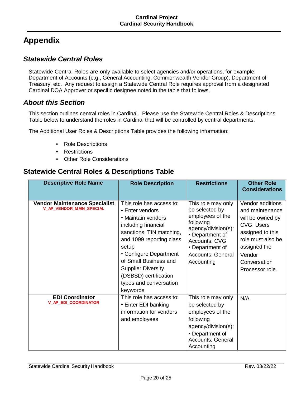# **Appendix**

# *Statewide Central Roles*

Statewide Central Roles are only available to select agencies and/or operations, for example: Department of Accounts (e.g., General Accounting, Commonwealth Vendor Group), Department of Treasury, etc. Any request to assign a Statewide Central Role requires approval from a designated Cardinal DOA Approver or specific designee noted in the table that follows.

# *About this Section*

This section outlines central roles in Cardinal. Please use the Statewide Central Roles & Descriptions Table below to understand the roles in Cardinal that will be controlled by central departments.

The Additional User Roles & Descriptions Table provides the following information:

- Role Descriptions
- Restrictions
- Other Role Considerations

# **Statewide Central Roles & Descriptions Table**

| <b>Descriptive Role Name</b>                                            | <b>Role Description</b>                                                                                                                                                                                                                                                                                  | <b>Restrictions</b>                                                                                                                                                                                  | <b>Other Role</b><br><b>Considerations</b>                                                                                                                                         |
|-------------------------------------------------------------------------|----------------------------------------------------------------------------------------------------------------------------------------------------------------------------------------------------------------------------------------------------------------------------------------------------------|------------------------------------------------------------------------------------------------------------------------------------------------------------------------------------------------------|------------------------------------------------------------------------------------------------------------------------------------------------------------------------------------|
| <b>Vendor Maintenance Specialist</b><br><b>V AP VENDOR MAIN SPECIAL</b> | This role has access to:<br>• Enter vendors<br>• Maintain vendors<br>including financial<br>sanctions, TIN matching,<br>and 1099 reporting class<br>setup<br>• Configure Department<br>of Small Business and<br><b>Supplier Diversity</b><br>(DSBSD) certification<br>types and conversation<br>keywords | This role may only<br>be selected by<br>employees of the<br>following<br>agency/division(s):<br>• Department of<br><b>Accounts: CVG</b><br>• Department of<br><b>Accounts: General</b><br>Accounting | Vendor additions<br>and maintenance<br>will be owned by<br><b>CVG. Users</b><br>assigned to this<br>role must also be<br>assigned the<br>Vendor<br>Conversation<br>Processor role. |
| <b>EDI Coordinator</b><br><b>V AP EDI COORDINATOR</b>                   | This role has access to:<br>• Enter EDI banking<br>information for vendors<br>and employees                                                                                                                                                                                                              | This role may only<br>be selected by<br>employees of the<br>following<br>agency/division(s):<br>• Department of<br><b>Accounts: General</b><br>Accounting                                            | N/A                                                                                                                                                                                |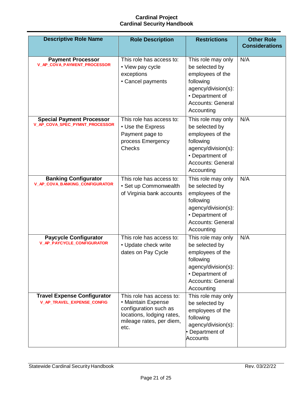| <b>Descriptive Role Name</b>                                       | <b>Role Description</b>                                                                                                                  | <b>Restrictions</b>                                                                                                                                       | <b>Other Role</b><br><b>Considerations</b> |
|--------------------------------------------------------------------|------------------------------------------------------------------------------------------------------------------------------------------|-----------------------------------------------------------------------------------------------------------------------------------------------------------|--------------------------------------------|
| <b>Payment Processor</b><br>V_AP_COVA_PAYMENT_PROCESSOR            | This role has access to:<br>• View pay cycle<br>exceptions<br>• Cancel payments                                                          | This role may only<br>be selected by<br>employees of the<br>following<br>agency/division(s):<br>• Department of<br><b>Accounts: General</b><br>Accounting | N/A                                        |
| <b>Special Payment Processor</b><br>V_AP_COVA_SPEC_PYMNT_PROCESSOR | This role has access to:<br>• Use the Express<br>Payment page to<br>process Emergency<br><b>Checks</b>                                   | This role may only<br>be selected by<br>employees of the<br>following<br>agency/division(s):<br>• Department of<br><b>Accounts: General</b><br>Accounting | N/A                                        |
| <b>Banking Configurator</b><br>V_AP_COVA_BANKING_CONFIGURATOR      | This role has access to:<br>• Set up Commonwealth<br>of Virginia bank accounts                                                           | This role may only<br>be selected by<br>employees of the<br>following<br>agency/division(s):<br>• Department of<br><b>Accounts: General</b><br>Accounting | N/A                                        |
| <b>Paycycle Configurator</b><br><b>V_AP_PAYCYCLE_CONFIGURATOR</b>  | This role has access to:<br>• Update check write<br>dates on Pay Cycle                                                                   | This role may only<br>be selected by<br>employees of the<br>following<br>agency/division(s):<br>• Department of<br><b>Accounts: General</b><br>Accounting | N/A                                        |
| <b>Travel Expense Configurator</b><br>V_AP_TRAVEL_EXPENSE_CONFIG   | This role has access to:<br>• Maintain Expense<br>configuration such as<br>locations, lodging rates,<br>mileage rates, per diem,<br>etc. | This role may only<br>be selected by<br>employees of the<br>following<br>agency/division(s):<br>• Department of<br><b>Accounts</b>                        |                                            |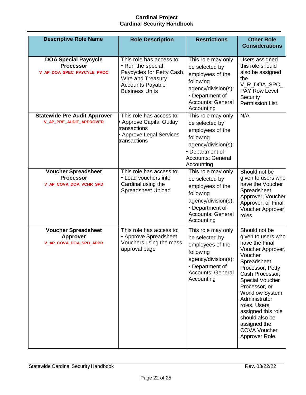| <b>Descriptive Role Name</b>                                                  | <b>Role Description</b>                                                                                                                             | <b>Restrictions</b>                                                                                                                                       | <b>Other Role</b>                                                                                                                                                                                                                                                                                                                                  |
|-------------------------------------------------------------------------------|-----------------------------------------------------------------------------------------------------------------------------------------------------|-----------------------------------------------------------------------------------------------------------------------------------------------------------|----------------------------------------------------------------------------------------------------------------------------------------------------------------------------------------------------------------------------------------------------------------------------------------------------------------------------------------------------|
|                                                                               |                                                                                                                                                     |                                                                                                                                                           | <b>Considerations</b>                                                                                                                                                                                                                                                                                                                              |
| <b>DOA Special Paycycle</b><br><b>Processor</b><br>V_AP_DOA_SPEC_PAYCYLE_PROC | This role has access to:<br>• Run the special<br>Paycycles for Petty Cash,<br>Wire and Treasury<br><b>Accounts Payable</b><br><b>Business Units</b> | This role may only<br>be selected by<br>employees of the<br>following<br>agency/division(s):<br>• Department of<br><b>Accounts: General</b><br>Accounting | Users assigned<br>this role should<br>also be assigned<br>the<br>V_R_DOA_SPC_<br><b>PAY Row Level</b><br>Security<br>Permission List.                                                                                                                                                                                                              |
| <b>Statewide Pre Audit Approver</b><br>V_AP_PRE_AUDIT_APPROVER                | This role has access to:<br>• Approve Capital Outlay<br>transactions<br>• Approve Legal Services<br>transactions                                    | This role may only<br>be selected by<br>employees of the<br>following<br>agency/division(s):<br>Department of<br><b>Accounts: General</b><br>Accounting   | N/A                                                                                                                                                                                                                                                                                                                                                |
| <b>Voucher Spreadsheet</b><br><b>Processor</b><br>V_AP_COVA_DOA_VCHR_SPD      | This role has access to:<br>• Load vouchers into<br>Cardinal using the<br>Spreadsheet Upload                                                        | This role may only<br>be selected by<br>employees of the<br>following<br>agency/division(s):<br>• Department of<br><b>Accounts: General</b><br>Accounting | Should not be<br>given to users who<br>have the Voucher<br>Spreadsheet<br>Approver, Voucher<br>Approver, or Final<br>Voucher Approver<br>roles.                                                                                                                                                                                                    |
| <b>Voucher Spreadsheet</b><br><b>Approver</b><br>V_AP_COVA_DOA_SPD_APPR       | This role has access to:<br>• Approve Spreadsheet<br>Vouchers using the mass<br>approval page                                                       | This role may only<br>be selected by<br>employees of the<br>following<br>agency/division(s):<br>• Department of<br><b>Accounts: General</b><br>Accounting | Should not be<br>given to users who<br>have the Final<br>Voucher Approver,<br>Voucher<br>Spreadsheet<br>Processor, Petty<br>Cash Processor,<br><b>Special Voucher</b><br>Processor, or<br><b>Workflow System</b><br>Administrator<br>roles. Users<br>assigned this role<br>should also be<br>assigned the<br><b>COVA Voucher</b><br>Approver Role. |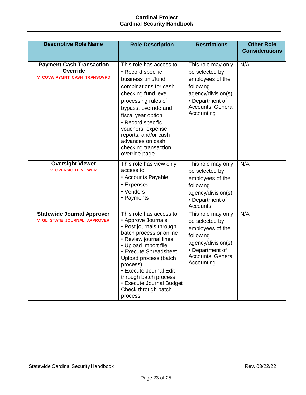| <b>Descriptive Role Name</b>                                               | <b>Role Description</b>                                                                                                                                                                                                                                                                                                               | <b>Restrictions</b>                                                                                                                                       | <b>Other Role</b><br><b>Considerations</b> |
|----------------------------------------------------------------------------|---------------------------------------------------------------------------------------------------------------------------------------------------------------------------------------------------------------------------------------------------------------------------------------------------------------------------------------|-----------------------------------------------------------------------------------------------------------------------------------------------------------|--------------------------------------------|
| <b>Payment Cash Transaction</b><br>Override<br>V_COVA_PYMNT_CASH_TRANSOVRD | This role has access to:<br>• Record specific<br>business unit/fund<br>combinations for cash<br>checking fund level<br>processing rules of<br>bypass, override and<br>fiscal year option<br>• Record specific<br>vouchers, expense<br>reports, and/or cash<br>advances on cash<br>checking transaction<br>override page               | This role may only<br>be selected by<br>employees of the<br>following<br>agency/division(s):<br>• Department of<br><b>Accounts: General</b><br>Accounting | N/A                                        |
| <b>Oversight Viewer</b><br><b>V_OVERSIGHT_VIEWER</b>                       | This role has view only<br>access to:<br>• Accounts Payable<br>• Expenses<br>• Vendors<br>• Payments                                                                                                                                                                                                                                  | This role may only<br>be selected by<br>employees of the<br>following<br>agency/division(s):<br>• Department of<br>Accounts                               | N/A                                        |
| <b>Statewide Journal Approver</b><br>V_GL_STATE_JOURNAL_APPROVER           | This role has access to:<br>• Approve Journals<br>• Post journals through<br>batch process or online<br>• Review journal lines<br>• Upload import file<br>• Execute Spreadsheet<br>Upload process (batch<br>process)<br>• Execute Journal Edit<br>through batch process<br>• Execute Journal Budget<br>Check through batch<br>process | This role may only<br>be selected by<br>employees of the<br>following<br>agency/division(s):<br>• Department of<br><b>Accounts: General</b><br>Accounting | N/A                                        |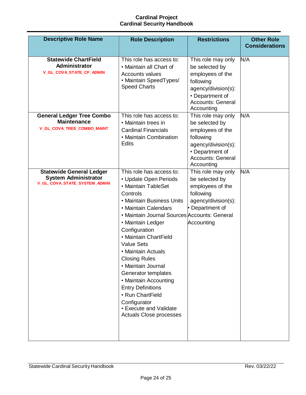| <b>Descriptive Role Name</b>                                                                   | <b>Role Description</b>                                                                                                                                                                                                                                                                                                                                                                                                                                                                                                | <b>Restrictions</b>                                                                                                                                       | <b>Other Role</b><br><b>Considerations</b> |
|------------------------------------------------------------------------------------------------|------------------------------------------------------------------------------------------------------------------------------------------------------------------------------------------------------------------------------------------------------------------------------------------------------------------------------------------------------------------------------------------------------------------------------------------------------------------------------------------------------------------------|-----------------------------------------------------------------------------------------------------------------------------------------------------------|--------------------------------------------|
| <b>Statewide ChartField</b><br>Administrator<br>V_GL_COVA_STATE_CF_ADMIN                       | This role has access to:<br>• Maintain all Chart of<br><b>Accounts values</b><br>• Maintain SpeedTypes/<br><b>Speed Charts</b>                                                                                                                                                                                                                                                                                                                                                                                         | This role may only<br>be selected by<br>employees of the<br>following<br>agency/division(s):<br>• Department of<br><b>Accounts: General</b><br>Accounting | N/A                                        |
| <b>General Ledger Tree Combo</b><br><b>Maintenance</b><br>V_GL_COVA_TREE_COMBO_MAINT           | This role has access to:<br>• Maintain trees in<br><b>Cardinal Financials</b><br>• Maintain Combination<br><b>Edits</b>                                                                                                                                                                                                                                                                                                                                                                                                | This role may only<br>be selected by<br>employees of the<br>following<br>agency/division(s):<br>• Department of<br><b>Accounts: General</b><br>Accounting | N/A                                        |
| <b>Statewide General Ledger</b><br><b>System Administrator</b><br>V_GL_COVA_STATE_SYSTEM_ADMIN | This role has access to:<br>• Update Open Periods<br>• Maintain TableSet<br>Controls<br>• Maintain Business Units<br>• Maintain Calendars<br>• Maintain Journal Sources Accounts: General<br>• Maintain Ledger<br>Configuration<br>• Maintain ChartField<br><b>Value Sets</b><br>• Maintain Actuals<br><b>Closing Rules</b><br>• Maintain Journal<br>Generator templates<br>• Maintain Accounting<br><b>Entry Definitions</b><br>• Run ChartField<br>Configurator<br>• Execute and Validate<br>Actuals Close processes | This role may only<br>be selected by<br>employees of the<br>following<br>agency/division(s):<br>Department of<br>Accounting                               | N/A                                        |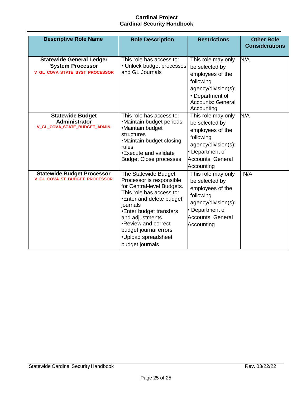| <b>Descriptive Role Name</b>                                                                 | <b>Role Description</b>                                                                                                                                                                                                                                                                    | <b>Restrictions</b>                                                                                                                                       | <b>Other Role</b><br><b>Considerations</b> |
|----------------------------------------------------------------------------------------------|--------------------------------------------------------------------------------------------------------------------------------------------------------------------------------------------------------------------------------------------------------------------------------------------|-----------------------------------------------------------------------------------------------------------------------------------------------------------|--------------------------------------------|
| <b>Statewide General Ledger</b><br><b>System Processor</b><br>V_GL_COVA_STATE_SYST_PROCESSOR | This role has access to:<br>• Unlock budget processes<br>and GL Journals                                                                                                                                                                                                                   | This role may only<br>be selected by<br>employees of the<br>following<br>agency/division(s):<br>• Department of<br><b>Accounts: General</b><br>Accounting | N/A                                        |
| <b>Statewide Budget</b><br><b>Administrator</b><br>V_GL_COVA_STATE_BUDGET_ADMIN              | This role has access to:<br>•Maintain budget periods<br>•Maintain budget<br>structures<br>•Maintain budget closing<br>rules<br>•Execute and validate<br><b>Budget Close processes</b>                                                                                                      | This role may only<br>be selected by<br>employees of the<br>following<br>agency/division(s):<br>Department of<br><b>Accounts: General</b><br>Accounting   | N/A                                        |
| <b>Statewide Budget Processor</b><br>V_GL_COVA_ST_BUDGET_PROCESSOR                           | The Statewide Budget<br>Processor is responsible<br>for Central-level Budgets.<br>This role has access to:<br>•Enter and delete budget<br>journals<br>•Enter budget transfers<br>and adjustments<br>•Review and correct<br>budget journal errors<br>•Upload spreadsheet<br>budget journals | This role may only<br>be selected by<br>employees of the<br>following<br>agency/division(s):<br>Department of<br><b>Accounts: General</b><br>Accounting   | N/A                                        |